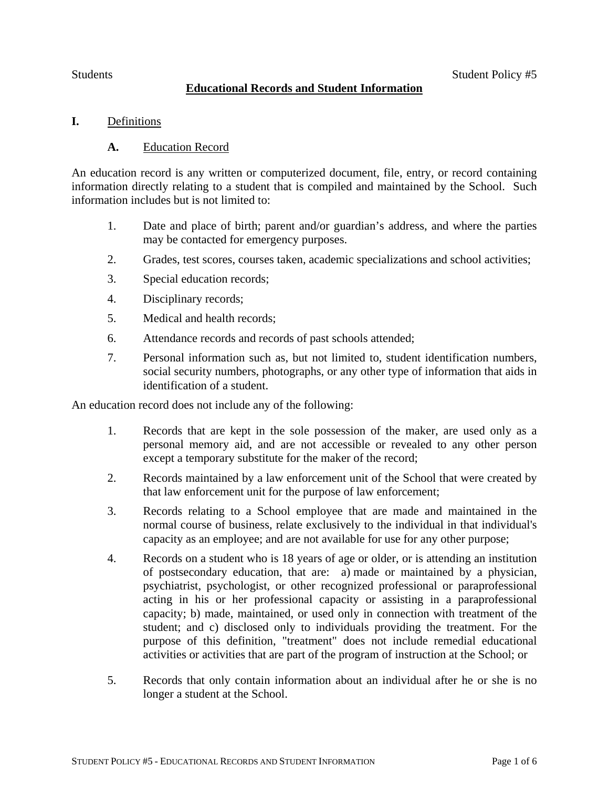# **Educational Records and Student Information**

# **I.** Definitions

## **A.** Education Record

An education record is any written or computerized document, file, entry, or record containing information directly relating to a student that is compiled and maintained by the School. Such information includes but is not limited to:

- 1. Date and place of birth; parent and/or guardian's address, and where the parties may be contacted for emergency purposes.
- 2. Grades, test scores, courses taken, academic specializations and school activities;
- 3. Special education records;
- 4. Disciplinary records;
- 5. Medical and health records;
- 6. Attendance records and records of past schools attended;
- 7. Personal information such as, but not limited to, student identification numbers, social security numbers, photographs, or any other type of information that aids in identification of a student.

An education record does not include any of the following:

- 1. Records that are kept in the sole possession of the maker, are used only as a personal memory aid, and are not accessible or revealed to any other person except a temporary substitute for the maker of the record;
- 2. Records maintained by a law enforcement unit of the School that were created by that law enforcement unit for the purpose of law enforcement;
- 3. Records relating to a School employee that are made and maintained in the normal course of business, relate exclusively to the individual in that individual's capacity as an employee; and are not available for use for any other purpose;
- 4. Records on a student who is 18 years of age or older, or is attending an institution of postsecondary education, that are: a) made or maintained by a physician, psychiatrist, psychologist, or other recognized professional or paraprofessional acting in his or her professional capacity or assisting in a paraprofessional capacity; b) made, maintained, or used only in connection with treatment of the student; and c) disclosed only to individuals providing the treatment. For the purpose of this definition, "treatment" does not include remedial educational activities or activities that are part of the program of instruction at the School; or
- 5. Records that only contain information about an individual after he or she is no longer a student at the School.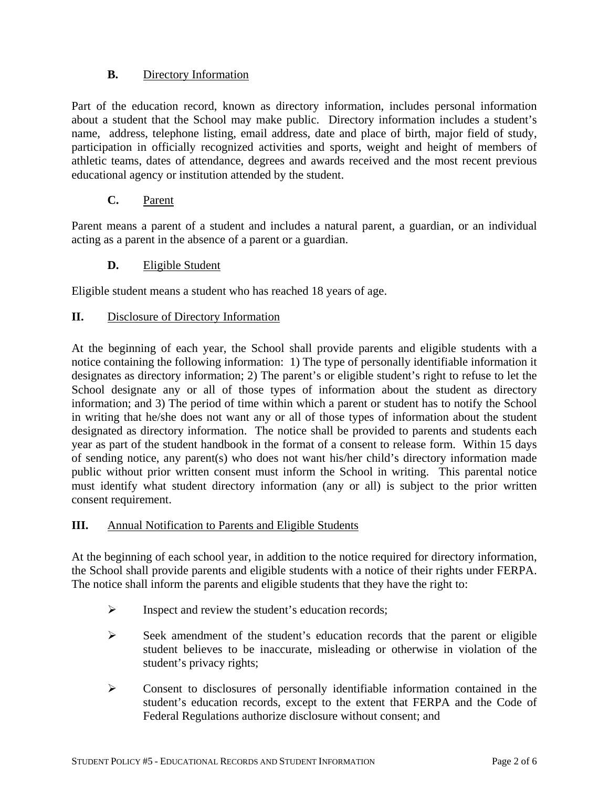# **B.** Directory Information

Part of the education record, known as directory information, includes personal information about a student that the School may make public. Directory information includes a student's name, address, telephone listing, email address, date and place of birth, major field of study, participation in officially recognized activities and sports, weight and height of members of athletic teams, dates of attendance, degrees and awards received and the most recent previous educational agency or institution attended by the student.

# **C.** Parent

Parent means a parent of a student and includes a natural parent, a guardian, or an individual acting as a parent in the absence of a parent or a guardian.

# **D.** Eligible Student

Eligible student means a student who has reached 18 years of age.

## **II.** Disclosure of Directory Information

At the beginning of each year, the School shall provide parents and eligible students with a notice containing the following information: 1) The type of personally identifiable information it designates as directory information; 2) The parent's or eligible student's right to refuse to let the School designate any or all of those types of information about the student as directory information; and 3) The period of time within which a parent or student has to notify the School in writing that he/she does not want any or all of those types of information about the student designated as directory information. The notice shall be provided to parents and students each year as part of the student handbook in the format of a consent to release form.Within 15 days of sending notice, any parent(s) who does not want his/her child's directory information made public without prior written consent must inform the School in writing. This parental notice must identify what student directory information (any or all) is subject to the prior written consent requirement.

### **III.** Annual Notification to Parents and Eligible Students

At the beginning of each school year, in addition to the notice required for directory information, the School shall provide parents and eligible students with a notice of their rights under FERPA. The notice shall inform the parents and eligible students that they have the right to:

- $\triangleright$  Inspect and review the student's education records;
- $\triangleright$  Seek amendment of the student's education records that the parent or eligible student believes to be inaccurate, misleading or otherwise in violation of the student's privacy rights;
- Consent to disclosures of personally identifiable information contained in the student's education records, except to the extent that FERPA and the Code of Federal Regulations authorize disclosure without consent; and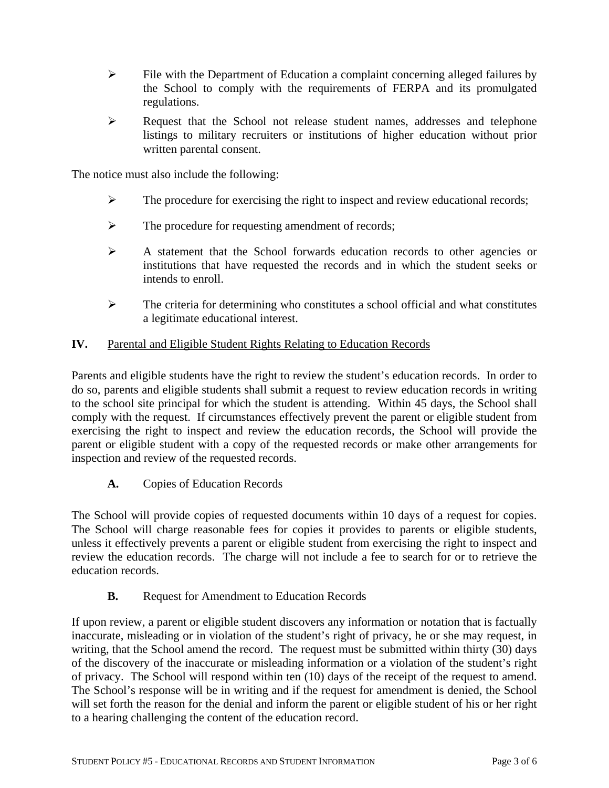- $\triangleright$  File with the Department of Education a complaint concerning alleged failures by the School to comply with the requirements of FERPA and its promulgated regulations.
- Request that the School not release student names, addresses and telephone listings to military recruiters or institutions of higher education without prior written parental consent.

The notice must also include the following:

- $\triangleright$  The procedure for exercising the right to inspect and review educational records;
- $\triangleright$  The procedure for requesting amendment of records;
- A statement that the School forwards education records to other agencies or institutions that have requested the records and in which the student seeks or intends to enroll.
- $\triangleright$  The criteria for determining who constitutes a school official and what constitutes a legitimate educational interest.

### **IV.** Parental and Eligible Student Rights Relating to Education Records

Parents and eligible students have the right to review the student's education records. In order to do so, parents and eligible students shall submit a request to review education records in writing to the school site principal for which the student is attending. Within 45 days, the School shall comply with the request. If circumstances effectively prevent the parent or eligible student from exercising the right to inspect and review the education records, the School will provide the parent or eligible student with a copy of the requested records or make other arrangements for inspection and review of the requested records.

**A.** Copies of Education Records

The School will provide copies of requested documents within 10 days of a request for copies. The School will charge reasonable fees for copies it provides to parents or eligible students, unless it effectively prevents a parent or eligible student from exercising the right to inspect and review the education records. The charge will not include a fee to search for or to retrieve the education records.

**B.** Request for Amendment to Education Records

If upon review, a parent or eligible student discovers any information or notation that is factually inaccurate, misleading or in violation of the student's right of privacy, he or she may request, in writing, that the School amend the record. The request must be submitted within thirty (30) days of the discovery of the inaccurate or misleading information or a violation of the student's right of privacy. The School will respond within ten (10) days of the receipt of the request to amend. The School's response will be in writing and if the request for amendment is denied, the School will set forth the reason for the denial and inform the parent or eligible student of his or her right to a hearing challenging the content of the education record.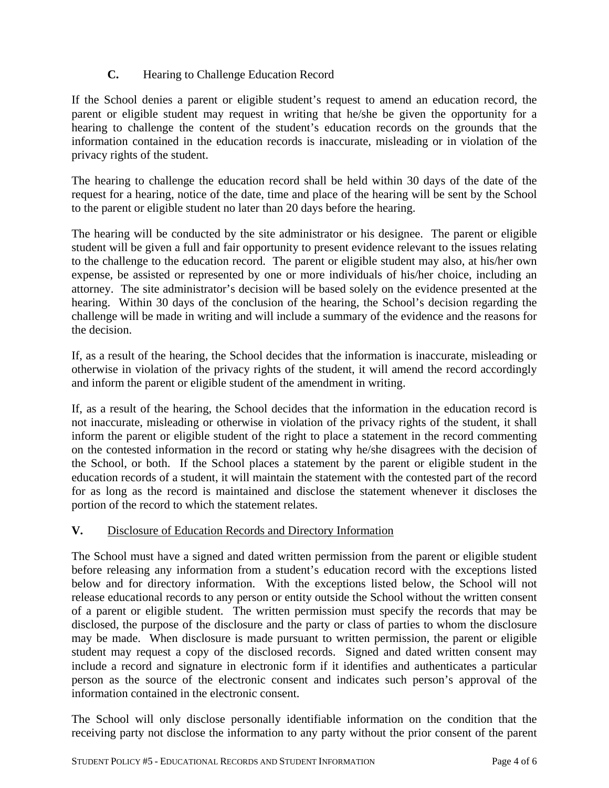# **C.** Hearing to Challenge Education Record

If the School denies a parent or eligible student's request to amend an education record, the parent or eligible student may request in writing that he/she be given the opportunity for a hearing to challenge the content of the student's education records on the grounds that the information contained in the education records is inaccurate, misleading or in violation of the privacy rights of the student.

The hearing to challenge the education record shall be held within 30 days of the date of the request for a hearing, notice of the date, time and place of the hearing will be sent by the School to the parent or eligible student no later than 20 days before the hearing.

The hearing will be conducted by the site administrator or his designee.The parent or eligible student will be given a full and fair opportunity to present evidence relevant to the issues relating to the challenge to the education record. The parent or eligible student may also, at his/her own expense, be assisted or represented by one or more individuals of his/her choice, including an attorney. The site administrator's decision will be based solely on the evidence presented at the hearing. Within 30 days of the conclusion of the hearing, the School's decision regarding the challenge will be made in writing and will include a summary of the evidence and the reasons for the decision.

If, as a result of the hearing, the School decides that the information is inaccurate, misleading or otherwise in violation of the privacy rights of the student, it will amend the record accordingly and inform the parent or eligible student of the amendment in writing.

If, as a result of the hearing, the School decides that the information in the education record is not inaccurate, misleading or otherwise in violation of the privacy rights of the student, it shall inform the parent or eligible student of the right to place a statement in the record commenting on the contested information in the record or stating why he/she disagrees with the decision of the School, or both. If the School places a statement by the parent or eligible student in the education records of a student, it will maintain the statement with the contested part of the record for as long as the record is maintained and disclose the statement whenever it discloses the portion of the record to which the statement relates.

# **V.** Disclosure of Education Records and Directory Information

The School must have a signed and dated written permission from the parent or eligible student before releasing any information from a student's education record with the exceptions listed below and for directory information. With the exceptions listed below, the School will not release educational records to any person or entity outside the School without the written consent of a parent or eligible student. The written permission must specify the records that may be disclosed, the purpose of the disclosure and the party or class of parties to whom the disclosure may be made. When disclosure is made pursuant to written permission, the parent or eligible student may request a copy of the disclosed records. Signed and dated written consent may include a record and signature in electronic form if it identifies and authenticates a particular person as the source of the electronic consent and indicates such person's approval of the information contained in the electronic consent.

The School will only disclose personally identifiable information on the condition that the receiving party not disclose the information to any party without the prior consent of the parent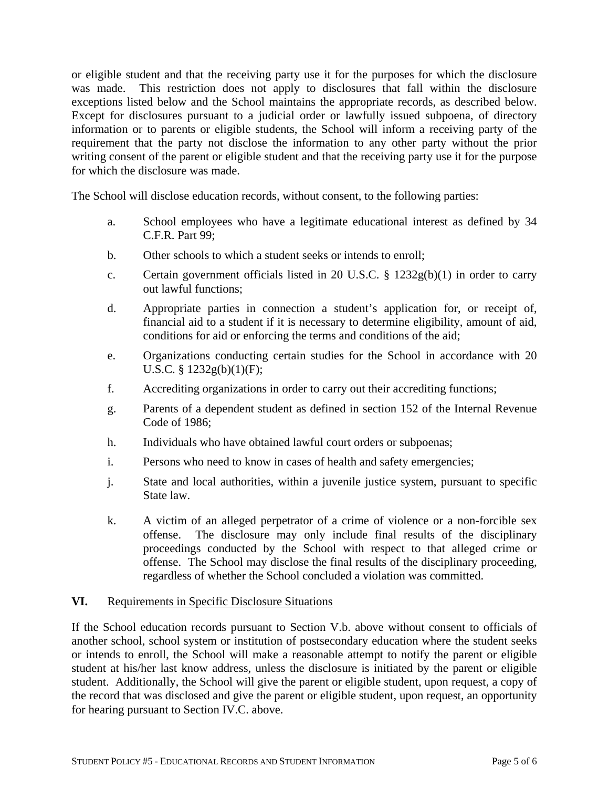or eligible student and that the receiving party use it for the purposes for which the disclosure was made. This restriction does not apply to disclosures that fall within the disclosure exceptions listed below and the School maintains the appropriate records, as described below. Except for disclosures pursuant to a judicial order or lawfully issued subpoena, of directory information or to parents or eligible students, the School will inform a receiving party of the requirement that the party not disclose the information to any other party without the prior writing consent of the parent or eligible student and that the receiving party use it for the purpose for which the disclosure was made.

The School will disclose education records, without consent, to the following parties:

- a. School employees who have a legitimate educational interest as defined by 34 C.F.R. Part 99;
- b. Other schools to which a student seeks or intends to enroll;
- c. Certain government officials listed in 20 U.S.C.  $\S$  1232g(b)(1) in order to carry out lawful functions;
- d. Appropriate parties in connection a student's application for, or receipt of, financial aid to a student if it is necessary to determine eligibility, amount of aid, conditions for aid or enforcing the terms and conditions of the aid;
- e. Organizations conducting certain studies for the School in accordance with 20 U.S.C.  $\S 1232g(b)(1)(F);$
- f. Accrediting organizations in order to carry out their accrediting functions;
- g. Parents of a dependent student as defined in section [152 of the Internal Revenue](http://www.lexis.com/research/buttonTFLink?_m=6abc13686deebc8da5c10abc89f02b9d&_xfercite=%3ccite%20cc%3d%22USA%22%3e%3c%21%5bCDATA%5b34%20CFR%2099.31%5d%5d%3e%3c%2fcite%3e&_butType=4&_butStat=0&_butNum=3&_butInline=1&_butinfo=26%20USC%20152&_fmtstr=FULL&docnum=1&_startdoc=1&wchp=dGLbVlb-zSkAl&_md5=e6f62af1ce041b02d5bf8cf8786c505b)  [Code](http://www.lexis.com/research/buttonTFLink?_m=6abc13686deebc8da5c10abc89f02b9d&_xfercite=%3ccite%20cc%3d%22USA%22%3e%3c%21%5bCDATA%5b34%20CFR%2099.31%5d%5d%3e%3c%2fcite%3e&_butType=4&_butStat=0&_butNum=3&_butInline=1&_butinfo=26%20USC%20152&_fmtstr=FULL&docnum=1&_startdoc=1&wchp=dGLbVlb-zSkAl&_md5=e6f62af1ce041b02d5bf8cf8786c505b) of 1986;
- h. Individuals who have obtained lawful court orders or subpoenas;
- i. Persons who need to know in cases of health and safety emergencies;
- j. State and local authorities, within a juvenile justice system, pursuant to specific State law.
- k. A victim of an alleged perpetrator of a crime of violence or a non-forcible sex offense. The disclosure may only include final results of the disciplinary proceedings conducted by the School with respect to that alleged crime or offense. The School may disclose the final results of the disciplinary proceeding, regardless of whether the School concluded a violation was committed.

#### **VI.** Requirements in Specific Disclosure Situations

If the School education records pursuant to Section V.b. above without consent to officials of another school, school system or institution of postsecondary education where the student seeks or intends to enroll, the School will make a reasonable attempt to notify the parent or eligible student at his/her last know address, unless the disclosure is initiated by the parent or eligible student. Additionally, the School will give the parent or eligible student, upon request, a copy of the record that was disclosed and give the parent or eligible student, upon request, an opportunity for hearing pursuant to Section IV.C. above.